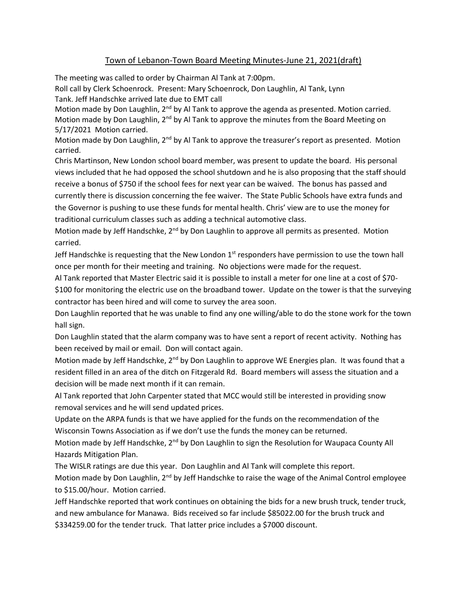## Town of Lebanon-Town Board Meeting Minutes-June 21, 2021(draft)

The meeting was called to order by Chairman Al Tank at 7:00pm.

Roll call by Clerk Schoenrock. Present: Mary Schoenrock, Don Laughlin, Al Tank, Lynn Tank. Jeff Handschke arrived late due to EMT call

Motion made by Don Laughlin, 2<sup>nd</sup> by Al Tank to approve the agenda as presented. Motion carried. Motion made by Don Laughlin, 2<sup>nd</sup> by Al Tank to approve the minutes from the Board Meeting on 5/17/2021 Motion carried.

Motion made by Don Laughlin,  $2<sup>nd</sup>$  by Al Tank to approve the treasurer's report as presented. Motion carried.

Chris Martinson, New London school board member, was present to update the board. His personal views included that he had opposed the school shutdown and he is also proposing that the staff should receive a bonus of \$750 if the school fees for next year can be waived. The bonus has passed and currently there is discussion concerning the fee waiver. The State Public Schools have extra funds and the Governor is pushing to use these funds for mental health. Chris' view are to use the money for traditional curriculum classes such as adding a technical automotive class.

Motion made by Jeff Handschke, 2<sup>nd</sup> by Don Laughlin to approve all permits as presented. Motion carried.

Jeff Handschke is requesting that the New London  $1<sup>st</sup>$  responders have permission to use the town hall once per month for their meeting and training. No objections were made for the request.

Al Tank reported that Master Electric said it is possible to install a meter for one line at a cost of \$70- \$100 for monitoring the electric use on the broadband tower. Update on the tower is that the surveying contractor has been hired and will come to survey the area soon.

Don Laughlin reported that he was unable to find any one willing/able to do the stone work for the town hall sign.

Don Laughlin stated that the alarm company was to have sent a report of recent activity. Nothing has been received by mail or email. Don will contact again.

Motion made by Jeff Handschke, 2<sup>nd</sup> by Don Laughlin to approve WE Energies plan. It was found that a resident filled in an area of the ditch on Fitzgerald Rd. Board members will assess the situation and a decision will be made next month if it can remain.

Al Tank reported that John Carpenter stated that MCC would still be interested in providing snow removal services and he will send updated prices.

Update on the ARPA funds is that we have applied for the funds on the recommendation of the Wisconsin Towns Association as if we don't use the funds the money can be returned.

Motion made by Jeff Handschke, 2<sup>nd</sup> by Don Laughlin to sign the Resolution for Waupaca County All Hazards Mitigation Plan.

The WISLR ratings are due this year. Don Laughlin and Al Tank will complete this report.

Motion made by Don Laughlin,  $2<sup>nd</sup>$  by Jeff Handschke to raise the wage of the Animal Control employee to \$15.00/hour. Motion carried.

Jeff Handschke reported that work continues on obtaining the bids for a new brush truck, tender truck, and new ambulance for Manawa. Bids received so far include \$85022.00 for the brush truck and \$334259.00 for the tender truck. That latter price includes a \$7000 discount.